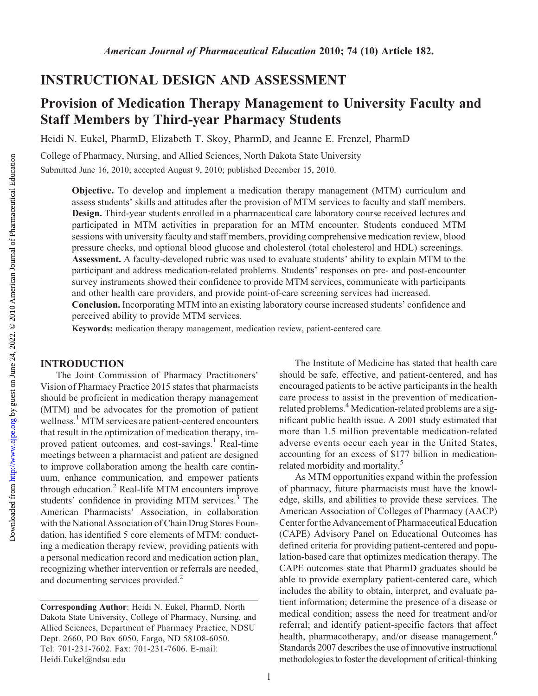# Provision of Medication Therapy Management to University Faculty and Staff Members by Third-year Pharmacy Students

Heidi N. Eukel, PharmD, Elizabeth T. Skoy, PharmD, and Jeanne E. Frenzel, PharmD

College of Pharmacy, Nursing, and Allied Sciences, North Dakota State University Submitted June 16, 2010; accepted August 9, 2010; published December 15, 2010.

> Objective. To develop and implement a medication therapy management (MTM) curriculum and assess students' skills and attitudes after the provision of MTM services to faculty and staff members. Design. Third-year students enrolled in a pharmaceutical care laboratory course received lectures and participated in MTM activities in preparation for an MTM encounter. Students conduced MTM sessions with university faculty and staff members, providing comprehensive medication review, blood pressure checks, and optional blood glucose and cholesterol (total cholesterol and HDL) screenings. Assessment. A faculty-developed rubric was used to evaluate students' ability to explain MTM to the participant and address medication-related problems. Students' responses on pre- and post-encounter survey instruments showed their confidence to provide MTM services, communicate with participants and other health care providers, and provide point-of-care screening services had increased. Conclusion. Incorporating MTM into an existing laboratory course increased students' confidence and perceived ability to provide MTM services.

Keywords: medication therapy management, medication review, patient-centered care

# INTRODUCTION

The Joint Commission of Pharmacy Practitioners' Vision of Pharmacy Practice 2015 states that pharmacists should be proficient in medication therapy management (MTM) and be advocates for the promotion of patient wellness.<sup>1</sup> MTM services are patient-centered encounters that result in the optimization of medication therapy, improved patient outcomes, and cost-savings. $<sup>1</sup>$  Real-time</sup> meetings between a pharmacist and patient are designed to improve collaboration among the health care continuum, enhance communication, and empower patients through education.<sup>2</sup> Real-life MTM encounters improve students' confidence in providing MTM services. $\frac{3}{3}$  The American Pharmacists' Association, in collaboration with the National Association of Chain Drug Stores Foundation, has identified 5 core elements of MTM: conducting a medication therapy review, providing patients with a personal medication record and medication action plan, recognizing whether intervention or referrals are needed, and documenting services provided.<sup>2</sup>

The Institute of Medicine has stated that health care should be safe, effective, and patient-centered, and has encouraged patients to be active participants in the health care process to assist in the prevention of medicationrelated problems.<sup>4</sup> Medication-related problems are a significant public health issue. A 2001 study estimated that more than 1.5 million preventable medication-related adverse events occur each year in the United States, accounting for an excess of \$177 billion in medicationrelated morbidity and mortality.5

As MTM opportunities expand within the profession of pharmacy, future pharmacists must have the knowledge, skills, and abilities to provide these services. The American Association of Colleges of Pharmacy (AACP) Center for the Advancement of Pharmaceutical Education (CAPE) Advisory Panel on Educational Outcomes has defined criteria for providing patient-centered and population-based care that optimizes medication therapy. The CAPE outcomes state that PharmD graduates should be able to provide exemplary patient-centered care, which includes the ability to obtain, interpret, and evaluate patient information; determine the presence of a disease or medical condition; assess the need for treatment and/or referral; and identify patient-specific factors that affect health, pharmacotherapy, and/or disease management.<sup>6</sup> Standards 2007 describes the use of innovative instructional methodologies to foster the development of critical-thinking

Corresponding Author: Heidi N. Eukel, PharmD, North Dakota State University, College of Pharmacy, Nursing, and Allied Sciences, Department of Pharmacy Practice, NDSU Dept. 2660, PO Box 6050, Fargo, ND 58108-6050. Tel: 701-231-7602. Fax: 701-231-7606. E-mail: Heidi.Eukel@ndsu.edu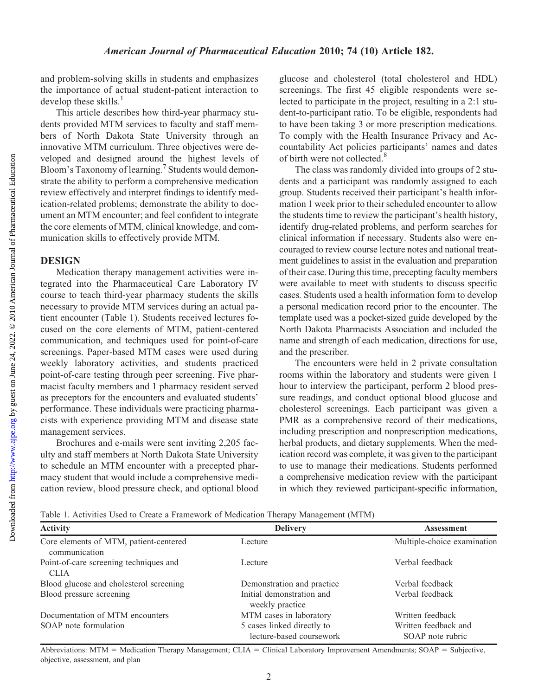and problem-solving skills in students and emphasizes the importance of actual student-patient interaction to develop these skills.<sup>1</sup>

This article describes how third-year pharmacy students provided MTM services to faculty and staff members of North Dakota State University through an innovative MTM curriculum. Three objectives were developed and designed around the highest levels of Bloom's Taxonomy of learning.<sup>7</sup> Students would demonstrate the ability to perform a comprehensive medication review effectively and interpret findings to identify medication-related problems; demonstrate the ability to document an MTM encounter; and feel confident to integrate the core elements of MTM, clinical knowledge, and communication skills to effectively provide MTM.

# DESIGN

Medication therapy management activities were integrated into the Pharmaceutical Care Laboratory IV course to teach third-year pharmacy students the skills necessary to provide MTM services during an actual patient encounter (Table 1). Students received lectures focused on the core elements of MTM, patient-centered communication, and techniques used for point-of-care screenings. Paper-based MTM cases were used during weekly laboratory activities, and students practiced point-of-care testing through peer screening. Five pharmacist faculty members and 1 pharmacy resident served as preceptors for the encounters and evaluated students' performance. These individuals were practicing pharmacists with experience providing MTM and disease state management services.

Brochures and e-mails were sent inviting 2,205 faculty and staff members at North Dakota State University to schedule an MTM encounter with a precepted pharmacy student that would include a comprehensive medication review, blood pressure check, and optional blood glucose and cholesterol (total cholesterol and HDL) screenings. The first 45 eligible respondents were selected to participate in the project, resulting in a 2:1 student-to-participant ratio. To be eligible, respondents had to have been taking 3 or more prescription medications. To comply with the Health Insurance Privacy and Accountability Act policies participants' names and dates of birth were not collected.<sup>8</sup>

The class was randomly divided into groups of 2 students and a participant was randomly assigned to each group. Students received their participant's health information 1 week prior to their scheduled encounter to allow the students time to review the participant's health history, identify drug-related problems, and perform searches for clinical information if necessary. Students also were encouraged to review course lecture notes and national treatment guidelines to assist in the evaluation and preparation of their case. During this time, precepting faculty members were available to meet with students to discuss specific cases. Students used a health information form to develop a personal medication record prior to the encounter. The template used was a pocket-sized guide developed by the North Dakota Pharmacists Association and included the name and strength of each medication, directions for use, and the prescriber.

The encounters were held in 2 private consultation rooms within the laboratory and students were given 1 hour to interview the participant, perform 2 blood pressure readings, and conduct optional blood glucose and cholesterol screenings. Each participant was given a PMR as a comprehensive record of their medications, including prescription and nonprescription medications, herbal products, and dietary supplements. When the medication record was complete, it was given to the participant to use to manage their medications. Students performed a comprehensive medication review with the participant in which they reviewed participant-specific information,

Table 1. Activities Used to Create a Framework of Medication Therapy Management (MTM)

| <b>Activity</b>                                         | <b>Delivery</b>                                        | <b>Assessment</b>                        |  |
|---------------------------------------------------------|--------------------------------------------------------|------------------------------------------|--|
| Core elements of MTM, patient-centered<br>communication | Lecture                                                | Multiple-choice examination              |  |
| Point-of-care screening techniques and<br><b>CLIA</b>   | Lecture                                                | Verbal feedback                          |  |
| Blood glucose and cholesterol screening                 | Demonstration and practice                             | Verbal feedback                          |  |
| Blood pressure screening                                | Initial demonstration and<br>weekly practice           | Verbal feedback                          |  |
| Documentation of MTM encounters                         | MTM cases in laboratory                                | Written feedback                         |  |
| SOAP note formulation                                   | 5 cases linked directly to<br>lecture-based coursework | Written feedback and<br>SOAP note rubric |  |

Abbreviations:  $MTM = Median$  Medication Therapy Management; CLIA = Clinical Laboratory Improvement Amendments; SOAP = Subjective, objective, assessment, and plan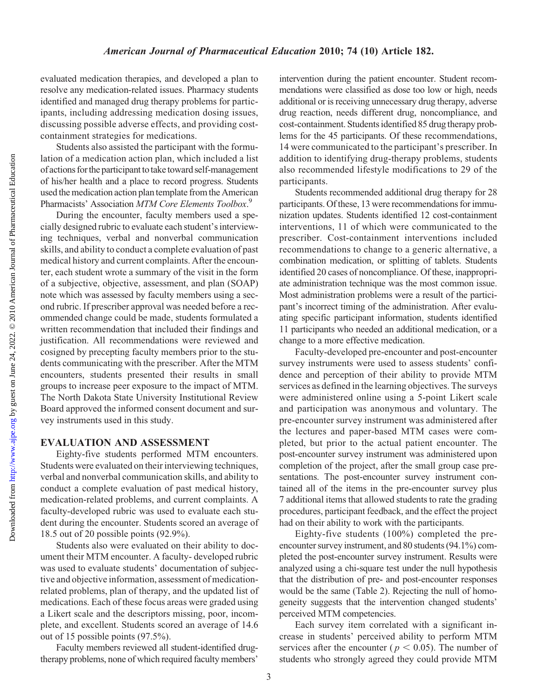Downloaded from

evaluated medication therapies, and developed a plan to resolve any medication-related issues. Pharmacy students identified and managed drug therapy problems for participants, including addressing medication dosing issues, discussing possible adverse effects, and providing costcontainment strategies for medications.

Students also assisted the participant with the formulation of a medication action plan, which included a list ofactions for the participant to take toward self-management of his/her health and a place to record progress. Students used the medication action plan template from the American Pharmacists' Association MTM Core Elements Toolbox.<sup>9</sup>

During the encounter, faculty members used a specially designed rubric to evaluate each student's interviewing techniques, verbal and nonverbal communication skills, and ability to conduct a complete evaluation of past medical history and current complaints. After the encounter, each student wrote a summary of the visit in the form of a subjective, objective, assessment, and plan (SOAP) note which was assessed by faculty members using a second rubric. If prescriber approval was needed before a recommended change could be made, students formulated a written recommendation that included their findings and justification. All recommendations were reviewed and cosigned by precepting faculty members prior to the students communicating with the prescriber. After the MTM encounters, students presented their results in small groups to increase peer exposure to the impact of MTM. The North Dakota State University Institutional Review Board approved the informed consent document and survey instruments used in this study.

## EVALUATION AND ASSESSMENT

Eighty-five students performed MTM encounters. Students were evaluated on their interviewing techniques, verbal and nonverbal communication skills, and ability to conduct a complete evaluation of past medical history, medication-related problems, and current complaints. A faculty-developed rubric was used to evaluate each student during the encounter. Students scored an average of 18.5 out of 20 possible points (92.9%).

Students also were evaluated on their ability to document their MTM encounter. A faculty- developed rubric was used to evaluate students' documentation of subjective and objective information, assessment of medicationrelated problems, plan of therapy, and the updated list of medications. Each of these focus areas were graded using a Likert scale and the descriptors missing, poor, incomplete, and excellent. Students scored an average of 14.6 out of 15 possible points (97.5%).

Faculty members reviewed all student-identified drugtherapy problems, none of which required faculty members'

intervention during the patient encounter. Student recommendations were classified as dose too low or high, needs additional or is receiving unnecessary drug therapy, adverse drug reaction, needs different drug, noncompliance, and cost-containment. Students identified 85 drug therapy problems for the 45 participants. Of these recommendations, 14 were communicated to the participant's prescriber. In addition to identifying drug-therapy problems, students also recommended lifestyle modifications to 29 of the participants.

Students recommended additional drug therapy for 28 participants. Of these, 13 were recommendations for immunization updates. Students identified 12 cost-containment interventions, 11 of which were communicated to the prescriber. Cost-containment interventions included recommendations to change to a generic alternative, a combination medication, or splitting of tablets. Students identified 20 cases of noncompliance. Of these, inappropriate administration technique was the most common issue. Most administration problems were a result of the participant's incorrect timing of the administration. After evaluating specific participant information, students identified 11 participants who needed an additional medication, or a change to a more effective medication.

Faculty-developed pre-encounter and post-encounter survey instruments were used to assess students' confidence and perception of their ability to provide MTM services as defined in the learning objectives. The surveys were administered online using a 5-point Likert scale and participation was anonymous and voluntary. The pre-encounter survey instrument was administered after the lectures and paper-based MTM cases were completed, but prior to the actual patient encounter. The post-encounter survey instrument was administered upon completion of the project, after the small group case presentations. The post-encounter survey instrument contained all of the items in the pre-encounter survey plus 7 additional items that allowed students to rate the grading procedures, participant feedback, and the effect the project had on their ability to work with the participants.

Eighty-five students (100%) completed the preencounter survey instrument, and 80 students (94.1%) completed the post-encounter survey instrument. Results were analyzed using a chi-square test under the null hypothesis that the distribution of pre- and post-encounter responses would be the same (Table 2). Rejecting the null of homogeneity suggests that the intervention changed students' perceived MTM competencies.

Each survey item correlated with a significant increase in students' perceived ability to perform MTM services after the encounter ( $p < 0.05$ ). The number of students who strongly agreed they could provide MTM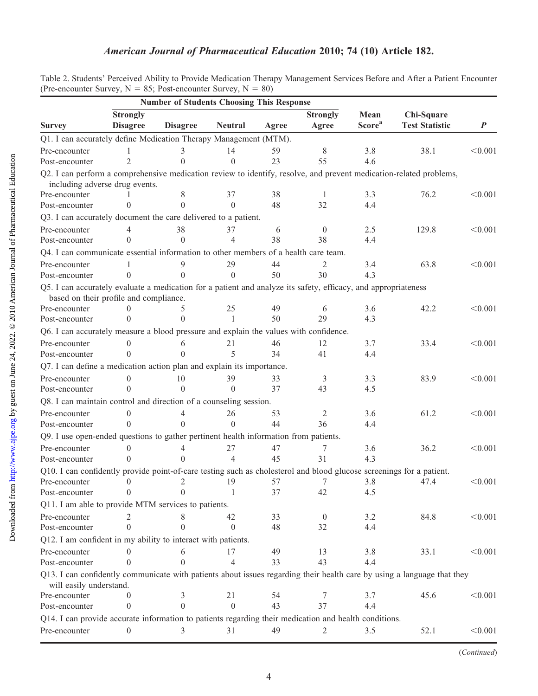| <b>Number of Students Choosing This Response</b>                                                                     |                 |                  |                |       |                 |                    |                                                                                                                         |                  |
|----------------------------------------------------------------------------------------------------------------------|-----------------|------------------|----------------|-------|-----------------|--------------------|-------------------------------------------------------------------------------------------------------------------------|------------------|
|                                                                                                                      | <b>Strongly</b> |                  |                |       | <b>Strongly</b> | Mean               | Chi-Square                                                                                                              |                  |
| <b>Survey</b>                                                                                                        | <b>Disagree</b> | <b>Disagree</b>  | <b>Neutral</b> | Agree | Agree           | Score <sup>a</sup> | <b>Test Statistic</b>                                                                                                   | $\boldsymbol{P}$ |
| Q1. I can accurately define Medication Therapy Management (MTM).                                                     |                 |                  |                |       |                 |                    |                                                                                                                         |                  |
| Pre-encounter                                                                                                        | 1               | 3                | 14             | 59    | 8               | 3.8                | 38.1                                                                                                                    | < 0.001          |
| Post-encounter                                                                                                       | $\overline{c}$  | $\theta$         | $\theta$       | 23    | 55              | 4.6                |                                                                                                                         |                  |
|                                                                                                                      |                 |                  |                |       |                 |                    | Q2. I can perform a comprehensive medication review to identify, resolve, and prevent medication-related problems,      |                  |
| including adverse drug events.                                                                                       |                 |                  |                |       |                 |                    |                                                                                                                         |                  |
| Pre-encounter                                                                                                        |                 | 8                | 37             | 38    | 1               | 3.3                | 76.2                                                                                                                    | < 0.001          |
| Post-encounter                                                                                                       |                 | $\theta$         | $\theta$       | 48    | 32              | 4.4                |                                                                                                                         |                  |
| Q3. I can accurately document the care delivered to a patient.                                                       |                 |                  |                |       |                 |                    |                                                                                                                         |                  |
| Pre-encounter                                                                                                        | 4               | 38               | 37             | 6     | $\theta$        | 2.5                | 129.8                                                                                                                   | < 0.001          |
| Post-encounter                                                                                                       | $\Omega$        | $\theta$         | 4              | 38    | 38              | 4.4                |                                                                                                                         |                  |
| Q4. I can communicate essential information to other members of a health care team.                                  |                 |                  |                |       |                 |                    |                                                                                                                         |                  |
| Pre-encounter                                                                                                        |                 | 9                | 29             | 44    | 2               | 3.4                | 63.8                                                                                                                    | < 0.001          |
| Post-encounter                                                                                                       | $\Omega$        | $\Omega$         | $\Omega$       | 50    | 30              | 4.3                |                                                                                                                         |                  |
| Q5. I can accurately evaluate a medication for a patient and analyze its safety, efficacy, and appropriateness       |                 |                  |                |       |                 |                    |                                                                                                                         |                  |
| based on their profile and compliance.                                                                               |                 |                  |                |       |                 |                    |                                                                                                                         |                  |
| Pre-encounter                                                                                                        |                 | 5                | 25             | 49    | 6               | 3.6                | 42.2                                                                                                                    | < 0.001          |
| Post-encounter                                                                                                       | $\Omega$        | $\theta$         | 1              | 50    | 29              | 4.3                |                                                                                                                         |                  |
| Q6. I can accurately measure a blood pressure and explain the values with confidence.                                |                 |                  |                |       |                 |                    |                                                                                                                         |                  |
| Pre-encounter                                                                                                        | $\Omega$        | 6                | 21             | 46    | 12              | 3.7                | 33.4                                                                                                                    | < 0.001          |
| Post-encounter                                                                                                       | $\Omega$        | $\Omega$         | 5              | 34    | 41              | 4.4                |                                                                                                                         |                  |
| Q7. I can define a medication action plan and explain its importance.                                                |                 |                  |                |       |                 |                    |                                                                                                                         |                  |
| Pre-encounter                                                                                                        | 0               | 10               | 39             | 33    | 3               | 3.3                | 83.9                                                                                                                    | < 0.001          |
| Post-encounter                                                                                                       | 0               | $\theta$         | $\theta$       | 37    | 43              | 4.5                |                                                                                                                         |                  |
| Q8. I can maintain control and direction of a counseling session.                                                    |                 |                  |                |       |                 |                    |                                                                                                                         |                  |
| Pre-encounter                                                                                                        | $\Omega$        | 4                | 26             | 53    | 2               | 3.6                | 61.2                                                                                                                    | < 0.001          |
| Post-encounter                                                                                                       | $\Omega$        | $\theta$         | $\Omega$       | 44    | 36              | 4.4                |                                                                                                                         |                  |
| Q9. I use open-ended questions to gather pertinent health information from patients.                                 |                 |                  |                |       |                 |                    |                                                                                                                         |                  |
| Pre-encounter                                                                                                        | $\Omega$        | 4                | 27             | 47    | 7               | 3.6                | 36.2                                                                                                                    | < 0.001          |
| Post-encounter                                                                                                       | $\Omega$        | $\Omega$         | $\overline{4}$ | 45    | 31              | 4.3                |                                                                                                                         |                  |
| Q10. I can confidently provide point-of-care testing such as cholesterol and blood glucose screenings for a patient. |                 |                  |                |       |                 |                    |                                                                                                                         |                  |
| Pre-encounter                                                                                                        | $\overline{0}$  | 2                | 19             | 57    | 7               | 3.8                | 47.4                                                                                                                    | < 0.001          |
| Post-encounter                                                                                                       | $\theta$        | $\boldsymbol{0}$ | 1              | 37    | 42              | 4.5                |                                                                                                                         |                  |
| Q11. I am able to provide MTM services to patients.                                                                  |                 |                  |                |       |                 |                    |                                                                                                                         |                  |
| Pre-encounter                                                                                                        | 2               | 8                | 42             | 33    | $\theta$        | 3.2                | 84.8                                                                                                                    | < 0.001          |
| Post-encounter                                                                                                       | $\theta$        | 0                | $\mathbf{0}$   | 48    | 32              | 4.4                |                                                                                                                         |                  |
| Q12. I am confident in my ability to interact with patients.                                                         |                 |                  |                |       |                 |                    |                                                                                                                         |                  |
| Pre-encounter                                                                                                        | $\theta$        | 6                | 17             | 49    | 13              | 3.8                | 33.1                                                                                                                    | < 0.001          |
| Post-encounter                                                                                                       | $\Omega$        | $\Omega$         | 4              | 33    | 43              | 4.4                |                                                                                                                         |                  |
|                                                                                                                      |                 |                  |                |       |                 |                    | Q13. I can confidently communicate with patients about issues regarding their health care by using a language that they |                  |
| will easily understand.                                                                                              |                 |                  |                |       |                 |                    |                                                                                                                         |                  |
| Pre-encounter                                                                                                        | $\theta$        | 3                | 21             | 54    | 7               | 3.7                | 45.6                                                                                                                    | < 0.001          |
| Post-encounter                                                                                                       | 0               | $\Omega$         | $\theta$       | 43    | 37              | 4.4                |                                                                                                                         |                  |
| Q14. I can provide accurate information to patients regarding their medication and health conditions.                |                 |                  |                |       |                 |                    |                                                                                                                         |                  |
| Pre-encounter                                                                                                        | $\overline{0}$  | 3                | 31             | 49    | 2               | 3.5                | 52.1                                                                                                                    | < 0.001          |
|                                                                                                                      |                 |                  |                |       |                 |                    |                                                                                                                         |                  |

Table 2. Students' Perceived Ability to Provide Medication Therapy Management Services Before and After a Patient Encounter (Pre-encounter Survey,  $N = 85$ ; Post-encounter Survey,  $N = 80$ )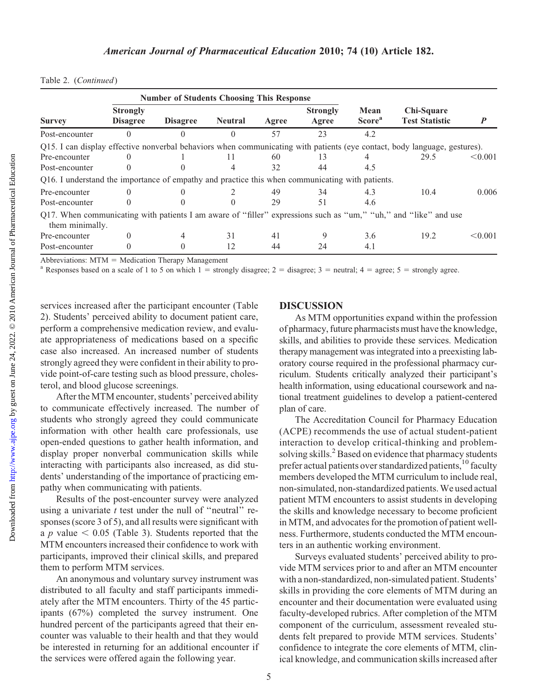Downloaded from

|                                                                                                                                    | <b>Number of Students Choosing This Response</b> |                 |                |       |                          |                            |                                     |         |
|------------------------------------------------------------------------------------------------------------------------------------|--------------------------------------------------|-----------------|----------------|-------|--------------------------|----------------------------|-------------------------------------|---------|
| <b>Survey</b>                                                                                                                      | <b>Strongly</b><br><b>Disagree</b>               | <b>Disagree</b> | <b>Neutral</b> | Agree | <b>Strongly</b><br>Agree | Mean<br>Score <sup>a</sup> | Chi-Square<br><b>Test Statistic</b> |         |
| Post-encounter                                                                                                                     | $\theta$                                         | $\theta$        | $\Omega$       | 57    | 23                       | 4.2                        |                                     |         |
| Q15. I can display effective nonverbal behaviors when communicating with patients (eye contact, body language, gestures).          |                                                  |                 |                |       |                          |                            |                                     |         |
| Pre-encounter                                                                                                                      | $\Omega$                                         |                 | 11             | 60    | 13                       | 4                          | 29.5                                | < 0.001 |
| Post-encounter                                                                                                                     |                                                  |                 |                | 32    | 44                       | 4.5                        |                                     |         |
| Q16. I understand the importance of empathy and practice this when communicating with patients.                                    |                                                  |                 |                |       |                          |                            |                                     |         |
| Pre-encounter                                                                                                                      |                                                  |                 |                | 49    | 34                       | 4.3                        | 10.4                                | 0.006   |
| Post-encounter                                                                                                                     |                                                  |                 |                | 29    | 51                       | 4.6                        |                                     |         |
| Q17. When communicating with patients I am aware of "filler" expressions such as "um," "uh," and "like" and use<br>them minimally. |                                                  |                 |                |       |                          |                            |                                     |         |
| Pre-encounter                                                                                                                      | $\Omega$                                         | 4               | 31             | 41    | 9                        | 3.6                        | 19.2                                | < 0.001 |
| Post-encounter                                                                                                                     |                                                  | $\theta$        | 12             | 44    | 24                       | 4.1                        |                                     |         |

Table 2. (Continued)

Abbreviations: MTM = Medication Therapy Management<br><sup>a</sup> Responses based on a scale of 1 to 5 on which 1 = strongly disagree; 2 = disagree; 3 = neutral; 4 = agree; 5 = strongly agree.

services increased after the participant encounter (Table 2). Students' perceived ability to document patient care, perform a comprehensive medication review, and evaluate appropriateness of medications based on a specific case also increased. An increased number of students strongly agreed they were confident in their ability to provide point-of-care testing such as blood pressure, cholesterol, and blood glucose screenings.

After the MTM encounter, students' perceived ability to communicate effectively increased. The number of students who strongly agreed they could communicate information with other health care professionals, use open-ended questions to gather health information, and display proper nonverbal communication skills while interacting with participants also increased, as did students' understanding of the importance of practicing empathy when communicating with patients.

Results of the post-encounter survey were analyzed using a univariate  $t$  test under the null of "neutral" responses (score 3 of 5), and all results were significant with a p value  $\leq 0.05$  (Table 3). Students reported that the MTM encounters increased their confidence to work with participants, improved their clinical skills, and prepared them to perform MTM services.

An anonymous and voluntary survey instrument was distributed to all faculty and staff participants immediately after the MTM encounters. Thirty of the 45 participants (67%) completed the survey instrument. One hundred percent of the participants agreed that their encounter was valuable to their health and that they would be interested in returning for an additional encounter if the services were offered again the following year.

## **DISCUSSION**

As MTM opportunities expand within the profession of pharmacy, future pharmacists must have the knowledge, skills, and abilities to provide these services. Medication therapy management was integrated into a preexisting laboratory course required in the professional pharmacy curriculum. Students critically analyzed their participant's health information, using educational coursework and national treatment guidelines to develop a patient-centered plan of care.

The Accreditation Council for Pharmacy Education (ACPE) recommends the use of actual student-patient interaction to develop critical-thinking and problemsolving skills.<sup>2</sup> Based on evidence that pharmacy students prefer actual patients over standardized patients,<sup>10</sup> faculty members developed the MTM curriculum to include real, non-simulated, non-standardized patients. We used actual patient MTM encounters to assist students in developing the skills and knowledge necessary to become proficient in MTM, and advocates for the promotion of patient wellness. Furthermore, students conducted the MTM encounters in an authentic working environment.

Surveys evaluated students' perceived ability to provide MTM services prior to and after an MTM encounter with a non-standardized, non-simulated patient. Students' skills in providing the core elements of MTM during an encounter and their documentation were evaluated using faculty-developed rubrics. After completion of the MTM component of the curriculum, assessment revealed students felt prepared to provide MTM services. Students' confidence to integrate the core elements of MTM, clinical knowledge, and communication skills increased after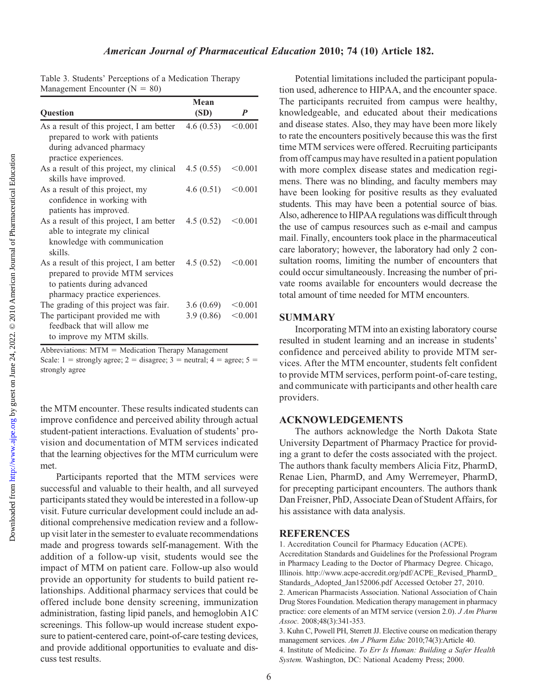Downloaded from

# American Journal of Pharmaceutical Education 2010; 74 (10) Article 182.

|  | Table 3. Students' Perceptions of a Medication Therapy |  |  |
|--|--------------------------------------------------------|--|--|
|  | Management Encounter ( $N = 80$ )                      |  |  |

| <b>Question</b>                                               | Mean<br>(SD)         | $\boldsymbol{P}$ |
|---------------------------------------------------------------|----------------------|------------------|
| As a result of this project, I am better                      | 4.6 $(0.53)$ < 0.001 |                  |
| prepared to work with patients                                |                      |                  |
| during advanced pharmacy                                      |                      |                  |
| practice experiences.                                         |                      |                  |
| As a result of this project, my clinical                      | 4.5(0.55)            | < 0.001          |
| skills have improved.                                         |                      |                  |
| As a result of this project, my                               | 4.6 $(0.51)$ < 0.001 |                  |
| confidence in working with                                    |                      |                  |
| patients has improved.                                        |                      |                  |
| As a result of this project, I am better                      | 4.5(0.52)            | < 0.001          |
| able to integrate my clinical                                 |                      |                  |
| knowledge with communication                                  |                      |                  |
| skills                                                        |                      |                  |
| As a result of this project, I am better                      | 4.5(0.52)            | < 0.001          |
| prepared to provide MTM services                              |                      |                  |
| to patients during advanced<br>pharmacy practice experiences. |                      |                  |
| The grading of this project was fair.                         | 3.6(0.69)            | < 0.001          |
| The participant provided me with                              | 3.9(0.86)            | < 0.001          |
| feedback that will allow me                                   |                      |                  |
| to improve my MTM skills.                                     |                      |                  |
|                                                               |                      |                  |

Abbreviations:  $MTM = \text{Median}$  Therapy Management

Scale:  $1 =$  strongly agree;  $2 =$  disagree;  $3 =$  neutral;  $4 =$  agree;  $5 =$ strongly agree

the MTM encounter. These results indicated students can improve confidence and perceived ability through actual student-patient interactions. Evaluation of students' provision and documentation of MTM services indicated that the learning objectives for the MTM curriculum were met.

Participants reported that the MTM services were successful and valuable to their health, and all surveyed participants stated they would be interested in a follow-up visit. Future curricular development could include an additional comprehensive medication review and a followup visit later in the semester to evaluate recommendations made and progress towards self-management. With the addition of a follow-up visit, students would see the impact of MTM on patient care. Follow-up also would provide an opportunity for students to build patient relationships. Additional pharmacy services that could be offered include bone density screening, immunization administration, fasting lipid panels, and hemoglobin A1C screenings. This follow-up would increase student exposure to patient-centered care, point-of-care testing devices, and provide additional opportunities to evaluate and discuss test results.

Potential limitations included the participant population used, adherence to HIPAA, and the encounter space. The participants recruited from campus were healthy, knowledgeable, and educated about their medications and disease states. Also, they may have been more likely to rate the encounters positively because this was the first time MTM services were offered. Recruiting participants from off campus may have resulted in a patient population with more complex disease states and medication regimens. There was no blinding, and faculty members may have been looking for positive results as they evaluated students. This may have been a potential source of bias. Also, adherence to HIPAA regulations was difficult through the use of campus resources such as e-mail and campus mail. Finally, encounters took place in the pharmaceutical care laboratory; however, the laboratory had only 2 consultation rooms, limiting the number of encounters that could occur simultaneously. Increasing the number of private rooms available for encounters would decrease the total amount of time needed for MTM encounters.

### **SUMMARY**

Incorporating MTM into an existing laboratory course resulted in student learning and an increase in students' confidence and perceived ability to provide MTM services. After the MTM encounter, students felt confident to provide MTM services, perform point-of-care testing, and communicate with participants and other health care providers.

### ACKNOWLEDGEMENTS

The authors acknowledge the North Dakota State University Department of Pharmacy Practice for providing a grant to defer the costs associated with the project. The authors thank faculty members Alicia Fitz, PharmD, Renae Lien, PharmD, and Amy Werremeyer, PharmD, for precepting participant encounters. The authors thank Dan Freisner, PhD, Associate Dean of Student Affairs, for his assistance with data analysis.

#### **REFERENCES**

1. Accreditation Council for Pharmacy Education (ACPE). Accreditation Standards and Guidelines for the Professional Program in Pharmacy Leading to the Doctor of Pharmacy Degree. Chicago, Illinois. http://www.acpe-accredit.org/pdf/ACPE\_Revised\_PharmD\_ Standards\_Adopted\_Jan152006.pdf Accessed October 27, 2010. 2. American Pharmacists Association. National Association of Chain Drug Stores Foundation. Medication therapy management in pharmacy practice: core elements of an MTM service (version 2.0). J Am Pharm Assoc. 2008;48(3):341-353. 3. Kuhn C, Powell PH, Sterrett JJ. Elective course on medication therapy

management services. Am J Pharm Educ 2010;74(3):Article 40. 4. Institute of Medicine. To Err Is Human: Building a Safer Health System. Washington, DC: National Academy Press; 2000.